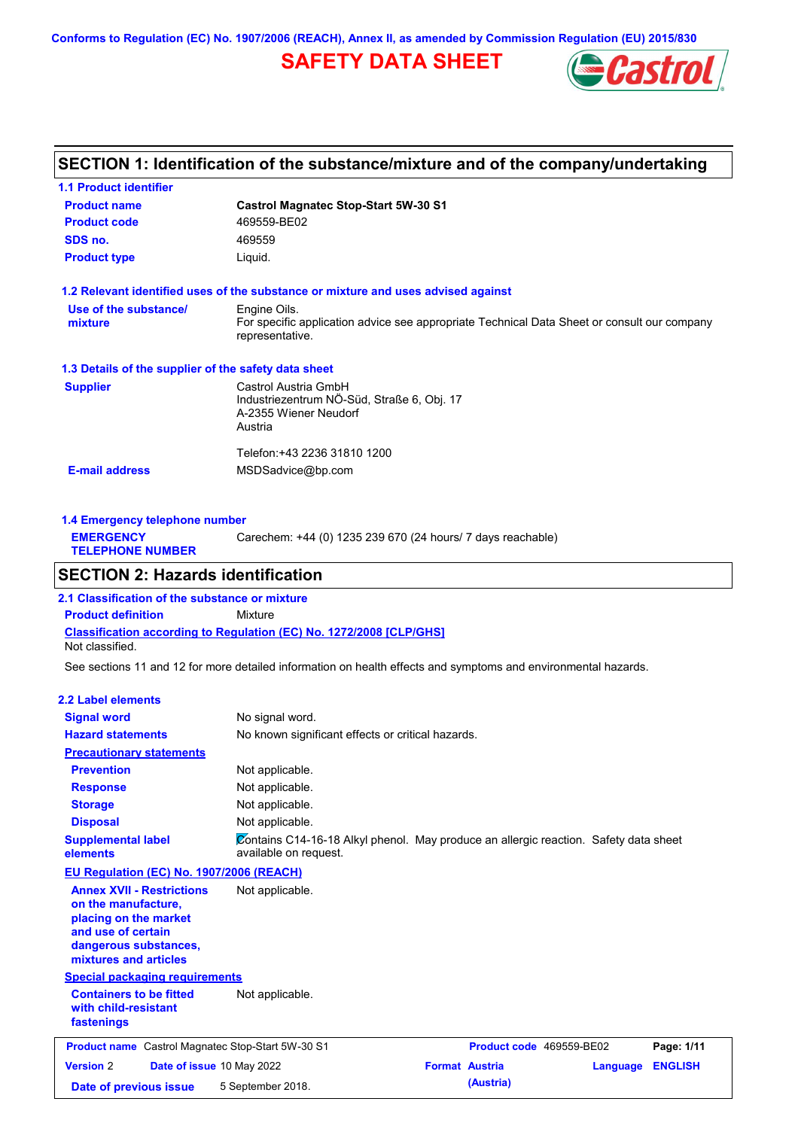**Conforms to Regulation (EC) No. 1907/2006 (REACH), Annex II, as amended by Commission Regulation (EU) 2015/830**

# **SAFETY DATA SHEET**



## **SECTION 1: Identification of the substance/mixture and of the company/undertaking**

| <b>Castrol Magnatec Stop-Start 5W-30 S1</b>                                                                    |
|----------------------------------------------------------------------------------------------------------------|
| 469559-BE02                                                                                                    |
| 469559                                                                                                         |
| Liquid.                                                                                                        |
| 1.2 Relevant identified uses of the substance or mixture and uses advised against                              |
| Engine Oils.                                                                                                   |
| For specific application advice see appropriate Technical Data Sheet or consult our company<br>representative. |
| 1.3 Details of the supplier of the safety data sheet                                                           |
| Castrol Austria GmbH                                                                                           |
| Industriezentrum NÖ-Süd, Straße 6, Obj. 17                                                                     |
| A-2355 Wiener Neudorf                                                                                          |
| Austria                                                                                                        |
| Telefon:+43 2236 31810 1200                                                                                    |
|                                                                                                                |
|                                                                                                                |

| Carechem: +44 (0) 1235 239 670 (24 hours/ 7 days reachable)<br><b>EMERGENCY</b> |                         | 1.4 Emergency telephone number |  |  |  |
|---------------------------------------------------------------------------------|-------------------------|--------------------------------|--|--|--|
|                                                                                 | <b>TELEPHONE NUMBER</b> |                                |  |  |  |

# **SECTION 2: Hazards identification**

**Classification according to Regulation (EC) No. 1272/2008 [CLP/GHS] 2.1 Classification of the substance or mixture Product definition** Mixture Not classified.

See sections 11 and 12 for more detailed information on health effects and symptoms and environmental hazards.

#### **2.2 Label elements Signal word Hazard statements Prevention Precautionary statements Response Storage Disposal** No signal word. No known significant effects or critical hazards. Not applicable. Not applicable. Not applicable. Not applicable. **Supplemental label elements Containers to be fitted with child-resistant fastenings** Not applicable. Contains C14-16-18 Alkyl phenol. May produce an allergic reaction. Safety data sheet available on request. **Special packaging requirements EU Regulation (EC) No. 1907/2006 (REACH) Annex XVII - Restrictions on the manufacture, placing on the market and use of certain dangerous substances, mixtures and articles** Not applicable. **Product name** Castrol Magnatec Stop-Start 5W-30 S1 **Product code** 469559-BE02 **Page: 1/11 Version** 2 **Date of issue** 10 May 2022 **Format Austria Language ENGLISH Date of previous issue 5 September 2018. (Austria)**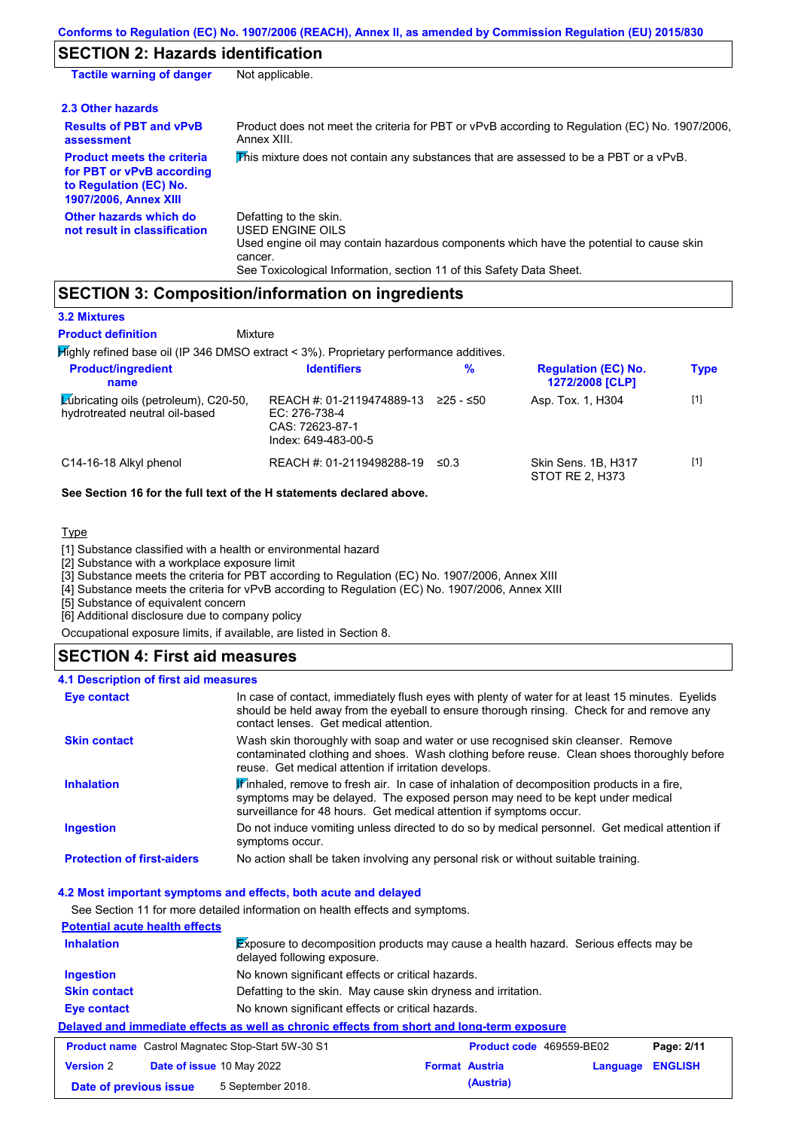# **SECTION 2: Hazards identification**

| <b>Tactile warning of danger</b>                                                                                         | Not applicable.                                                                                                                                                                                                          |
|--------------------------------------------------------------------------------------------------------------------------|--------------------------------------------------------------------------------------------------------------------------------------------------------------------------------------------------------------------------|
| 2.3 Other hazards                                                                                                        |                                                                                                                                                                                                                          |
| <b>Results of PBT and vPvB</b><br>assessment                                                                             | Product does not meet the criteria for PBT or vPvB according to Regulation (EC) No. 1907/2006,<br>Annex XIII.                                                                                                            |
| <b>Product meets the criteria</b><br>for PBT or vPvB according<br>to Regulation (EC) No.<br><b>1907/2006, Annex XIII</b> | This mixture does not contain any substances that are assessed to be a PBT or a vPvB.                                                                                                                                    |
| Other hazards which do<br>not result in classification                                                                   | Defatting to the skin.<br>USED ENGINE OILS<br>Used engine oil may contain hazardous components which have the potential to cause skin<br>cancer.<br>See Toxicological Information, section 11 of this Safety Data Sheet. |

# **SECTION 3: Composition/information on ingredients**

#### **3.2 Mixtures**

**Product definition**

 $\overline{\mathbf{H}}$ ighly refined base oil (IP 346 DMSO extract < 3%). Proprietary p **Mixture** 

| <b>Product/ingredient</b><br>name                                       | <b>Identifiers</b>                                                                   | %          | <b>Regulation (EC) No.</b><br>1272/2008 [CLP] | <b>Type</b> |
|-------------------------------------------------------------------------|--------------------------------------------------------------------------------------|------------|-----------------------------------------------|-------------|
| Lubricating oils (petroleum), C20-50,<br>hydrotreated neutral oil-based | REACH #: 01-2119474889-13<br>EC: 276-738-4<br>CAS: 72623-87-1<br>Index: 649-483-00-5 | ≥25 - ≤50  | Asp. Tox. 1, H304                             | $[1]$       |
| C14-16-18 Alkyl phenol                                                  | REACH #: 01-2119498288-19                                                            | $\leq 0.3$ | Skin Sens, 1B, H317<br>STOT RE 2, H373        | $[1]$       |

#### **See Section 16 for the full text of the H statements declared above.**

#### **Type**

[1] Substance classified with a health or environmental hazard

[2] Substance with a workplace exposure limit

[3] Substance meets the criteria for PBT according to Regulation (EC) No. 1907/2006, Annex XIII

[4] Substance meets the criteria for vPvB according to Regulation (EC) No. 1907/2006, Annex XIII

[5] Substance of equivalent concern

[6] Additional disclosure due to company policy

Occupational exposure limits, if available, are listed in Section 8.

# **SECTION 4: First aid measures**

| <b>4.1 Description of first aid measures</b> |                                                                                                                                                                                                                                                               |
|----------------------------------------------|---------------------------------------------------------------------------------------------------------------------------------------------------------------------------------------------------------------------------------------------------------------|
| Eye contact                                  | In case of contact, immediately flush eyes with plenty of water for at least 15 minutes. Eyelids<br>should be held away from the eyeball to ensure thorough rinsing. Check for and remove any<br>contact lenses. Get medical attention.                       |
| <b>Skin contact</b>                          | Wash skin thoroughly with soap and water or use recognised skin cleanser. Remove<br>contaminated clothing and shoes. Wash clothing before reuse. Clean shoes thoroughly before<br>reuse. Get medical attention if irritation develops.                        |
| <b>Inhalation</b>                            | $\mathbf{F}$ inhaled, remove to fresh air. In case of inhalation of decomposition products in a fire,<br>symptoms may be delayed. The exposed person may need to be kept under medical<br>surveillance for 48 hours. Get medical attention if symptoms occur. |
| <b>Ingestion</b>                             | Do not induce vomiting unless directed to do so by medical personnel. Get medical attention if<br>symptoms occur.                                                                                                                                             |
| <b>Protection of first-aiders</b>            | No action shall be taken involving any personal risk or without suitable training.                                                                                                                                                                            |

#### **4.2 Most important symptoms and effects, both acute and delayed**

See Section 11 for more detailed information on health effects and symptoms. **Potential acute health effects Inhalation** Exposure to decomposition products may cause a health hazard. Serious effects may be delayed following exposure. **Ingestion** No known significant effects or critical hazards. **Skin contact** Defatting to the skin. May cause skin dryness and irritation. **Eye contact** No known significant effects or critical hazards. **Delayed and immediate effects as well as chronic effects from short and long-term exposure Product name** Castrol Magnatec Stop-Start 5W-30 S1 **Product code** 469559-BE02 **Page: 2/11 Version** 2 **Date of issue** 10 May 2022 **Format Austria Language ENGLISH Date of previous issue 5 September 2018. (Austria)**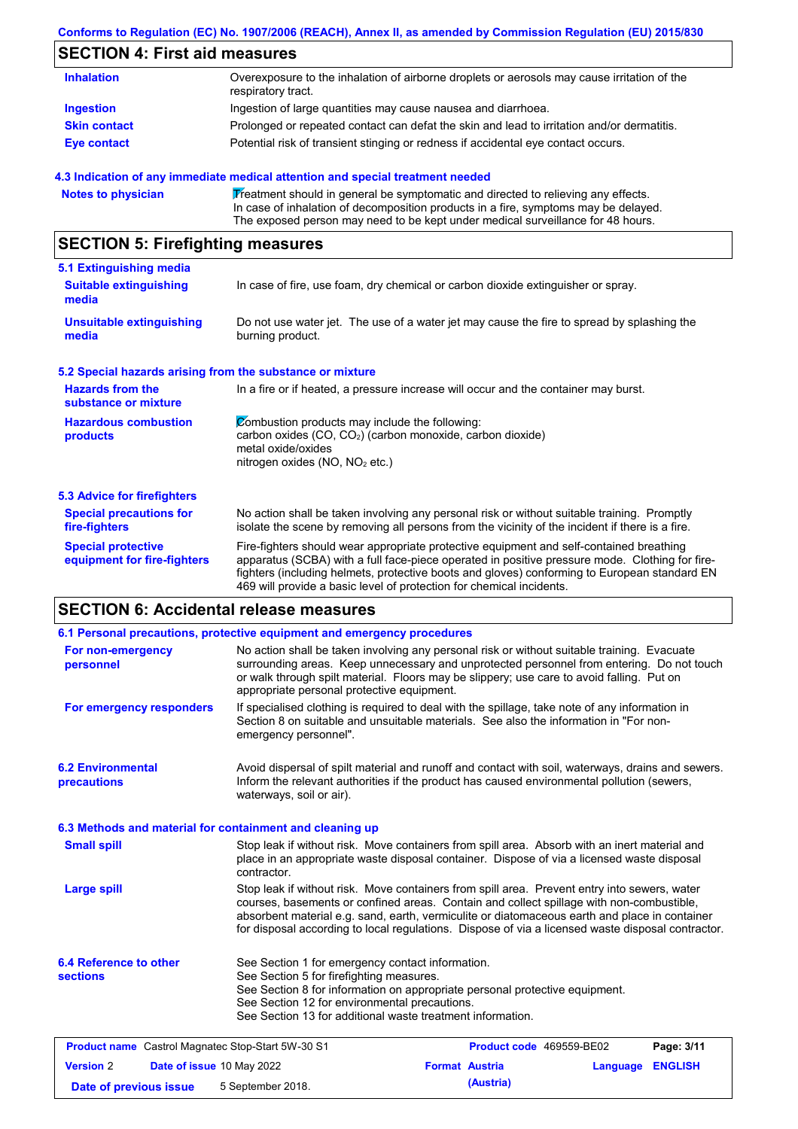#### **Conforms to Regulation (EC) No. 1907/2006 (REACH), Annex II, as amended by Commission Regulation (EU) 2015/830**

# **SECTION 4: First aid measures**

| <b>Inhalation</b>   | Overexposure to the inhalation of airborne droplets or aerosols may cause irritation of the<br>respiratory tract. |
|---------------------|-------------------------------------------------------------------------------------------------------------------|
| <b>Ingestion</b>    | Ingestion of large quantities may cause nausea and diarrhoea.                                                     |
| <b>Skin contact</b> | Prolonged or repeated contact can defat the skin and lead to irritation and/or dermatitis.                        |
| <b>Eye contact</b>  | Potential risk of transient stinging or redness if accidental eye contact occurs.                                 |

#### **4.3 Indication of any immediate medical attention and special treatment needed**

Notes to physician **Treatment should in general be symptomatic and directed to relieving any effects.** In case of inhalation of decomposition products in a fire, symptoms may be delayed. The exposed person may need to be kept under medical surveillance for 48 hours.

# **SECTION 5: Firefighting measures**

| 5.1 Extinguishing media                                   |                                                                                                                                                                                                                                                                                                                                                                   |
|-----------------------------------------------------------|-------------------------------------------------------------------------------------------------------------------------------------------------------------------------------------------------------------------------------------------------------------------------------------------------------------------------------------------------------------------|
| <b>Suitable extinguishing</b><br>media                    | In case of fire, use foam, dry chemical or carbon dioxide extinguisher or spray.                                                                                                                                                                                                                                                                                  |
| <b>Unsuitable extinguishing</b><br>media                  | Do not use water jet. The use of a water jet may cause the fire to spread by splashing the<br>burning product.                                                                                                                                                                                                                                                    |
| 5.2 Special hazards arising from the substance or mixture |                                                                                                                                                                                                                                                                                                                                                                   |
| <b>Hazards from the</b><br>substance or mixture           | In a fire or if heated, a pressure increase will occur and the container may burst.                                                                                                                                                                                                                                                                               |
| <b>Hazardous combustion</b><br>products                   | Combustion products may include the following:<br>carbon oxides $(CO, CO2)$ (carbon monoxide, carbon dioxide)<br>metal oxide/oxides<br>nitrogen oxides (NO, NO <sub>2</sub> etc.)                                                                                                                                                                                 |
| 5.3 Advice for firefighters                               |                                                                                                                                                                                                                                                                                                                                                                   |
| <b>Special precautions for</b><br>fire-fighters           | No action shall be taken involving any personal risk or without suitable training. Promptly<br>isolate the scene by removing all persons from the vicinity of the incident if there is a fire.                                                                                                                                                                    |
| <b>Special protective</b><br>equipment for fire-fighters  | Fire-fighters should wear appropriate protective equipment and self-contained breathing<br>apparatus (SCBA) with a full face-piece operated in positive pressure mode. Clothing for fire-<br>fighters (including helmets, protective boots and gloves) conforming to European standard EN<br>469 will provide a basic level of protection for chemical incidents. |

# **SECTION 6: Accidental release measures**

|                                                          | 6.1 Personal precautions, protective equipment and emergency procedures                                                                                                                                                                                                                                                                                                                        |                       |           |                          |                |
|----------------------------------------------------------|------------------------------------------------------------------------------------------------------------------------------------------------------------------------------------------------------------------------------------------------------------------------------------------------------------------------------------------------------------------------------------------------|-----------------------|-----------|--------------------------|----------------|
| For non-emergency<br>personnel                           | No action shall be taken involving any personal risk or without suitable training. Evacuate<br>surrounding areas. Keep unnecessary and unprotected personnel from entering. Do not touch<br>or walk through spilt material. Floors may be slippery; use care to avoid falling. Put on<br>appropriate personal protective equipment.                                                            |                       |           |                          |                |
| For emergency responders                                 | If specialised clothing is required to deal with the spillage, take note of any information in<br>Section 8 on suitable and unsuitable materials. See also the information in "For non-<br>emergency personnel".                                                                                                                                                                               |                       |           |                          |                |
| <b>6.2 Environmental</b><br>precautions                  | Avoid dispersal of spilt material and runoff and contact with soil, waterways, drains and sewers.<br>Inform the relevant authorities if the product has caused environmental pollution (sewers,<br>waterways, soil or air).                                                                                                                                                                    |                       |           |                          |                |
|                                                          | 6.3 Methods and material for containment and cleaning up                                                                                                                                                                                                                                                                                                                                       |                       |           |                          |                |
| <b>Small spill</b>                                       | Stop leak if without risk. Move containers from spill area. Absorb with an inert material and<br>place in an appropriate waste disposal container. Dispose of via a licensed waste disposal<br>contractor.                                                                                                                                                                                     |                       |           |                          |                |
| <b>Large spill</b>                                       | Stop leak if without risk. Move containers from spill area. Prevent entry into sewers, water<br>courses, basements or confined areas. Contain and collect spillage with non-combustible,<br>absorbent material e.g. sand, earth, vermiculite or diatomaceous earth and place in container<br>for disposal according to local regulations. Dispose of via a licensed waste disposal contractor. |                       |           |                          |                |
| 6.4 Reference to other<br><b>sections</b>                | See Section 1 for emergency contact information.<br>See Section 5 for firefighting measures.<br>See Section 8 for information on appropriate personal protective equipment.<br>See Section 12 for environmental precautions.<br>See Section 13 for additional waste treatment information.                                                                                                     |                       |           |                          |                |
| <b>Product name</b> Castrol Magnatec Stop-Start 5W-30 S1 |                                                                                                                                                                                                                                                                                                                                                                                                |                       |           | Product code 469559-BE02 | Page: 3/11     |
| <b>Version 2</b><br>Date of issue 10 May 2022            |                                                                                                                                                                                                                                                                                                                                                                                                | <b>Format Austria</b> |           | Language                 | <b>ENGLISH</b> |
| Date of previous issue                                   | 5 September 2018.                                                                                                                                                                                                                                                                                                                                                                              |                       | (Austria) |                          |                |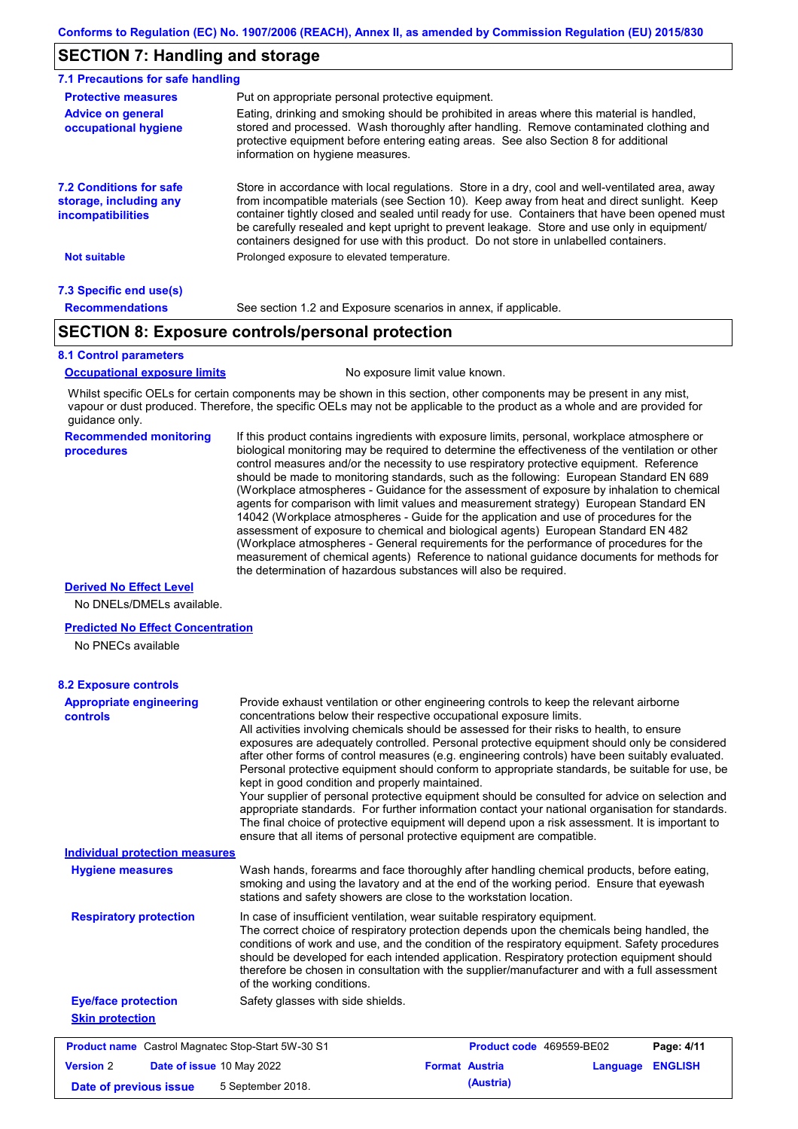# **SECTION 7: Handling and storage**

| 7.1 Precautions for safe handling                                                    |                                                                                                                                                                                                                                                                                                                                                                                                                                                                                          |
|--------------------------------------------------------------------------------------|------------------------------------------------------------------------------------------------------------------------------------------------------------------------------------------------------------------------------------------------------------------------------------------------------------------------------------------------------------------------------------------------------------------------------------------------------------------------------------------|
| <b>Protective measures</b>                                                           | Put on appropriate personal protective equipment.                                                                                                                                                                                                                                                                                                                                                                                                                                        |
| <b>Advice on general</b><br>occupational hygiene                                     | Eating, drinking and smoking should be prohibited in areas where this material is handled,<br>stored and processed. Wash thoroughly after handling. Remove contaminated clothing and<br>protective equipment before entering eating areas. See also Section 8 for additional<br>information on hygiene measures.                                                                                                                                                                         |
| <b>7.2 Conditions for safe</b><br>storage, including any<br><i>incompatibilities</i> | Store in accordance with local regulations. Store in a dry, cool and well-ventilated area, away<br>from incompatible materials (see Section 10). Keep away from heat and direct sunlight. Keep<br>container tightly closed and sealed until ready for use. Containers that have been opened must<br>be carefully resealed and kept upright to prevent leakage. Store and use only in equipment/<br>containers designed for use with this product. Do not store in unlabelled containers. |
| <b>Not suitable</b>                                                                  | Prolonged exposure to elevated temperature.                                                                                                                                                                                                                                                                                                                                                                                                                                              |
| 7.3 Specific end use(s)                                                              |                                                                                                                                                                                                                                                                                                                                                                                                                                                                                          |
| <b>Recommendations</b>                                                               | See section 1.2 and Exposure scenarios in annex, if applicable.                                                                                                                                                                                                                                                                                                                                                                                                                          |

# **SECTION 8: Exposure controls/personal protection**

#### **8.1 Control parameters**

**Occupational exposure limits** No exposure limit value known.

Whilst specific OELs for certain components may be shown in this section, other components may be present in any mist, vapour or dust produced. Therefore, the specific OELs may not be applicable to the product as a whole and are provided for guidance only.

#### **Recommended monitoring procedures**

If this product contains ingredients with exposure limits, personal, workplace atmosphere or biological monitoring may be required to determine the effectiveness of the ventilation or other control measures and/or the necessity to use respiratory protective equipment. Reference should be made to monitoring standards, such as the following: European Standard EN 689 (Workplace atmospheres - Guidance for the assessment of exposure by inhalation to chemical agents for comparison with limit values and measurement strategy) European Standard EN 14042 (Workplace atmospheres - Guide for the application and use of procedures for the assessment of exposure to chemical and biological agents) European Standard EN 482 (Workplace atmospheres - General requirements for the performance of procedures for the measurement of chemical agents) Reference to national guidance documents for methods for the determination of hazardous substances will also be required.

#### **Derived No Effect Level**

No DNELs/DMELs available.

#### **Predicted No Effect Concentration**

No PNECs available

| <b>8.2 Exposure controls</b>                             |                                                                                                                                                                                                                                                                                                                                                                                                                                                                                                                                                                                                                                                                                                                                                                                                                                                                                                                                                                                                         |                          |          |                |
|----------------------------------------------------------|---------------------------------------------------------------------------------------------------------------------------------------------------------------------------------------------------------------------------------------------------------------------------------------------------------------------------------------------------------------------------------------------------------------------------------------------------------------------------------------------------------------------------------------------------------------------------------------------------------------------------------------------------------------------------------------------------------------------------------------------------------------------------------------------------------------------------------------------------------------------------------------------------------------------------------------------------------------------------------------------------------|--------------------------|----------|----------------|
| <b>Appropriate engineering</b><br><b>controls</b>        | Provide exhaust ventilation or other engineering controls to keep the relevant airborne<br>concentrations below their respective occupational exposure limits.<br>All activities involving chemicals should be assessed for their risks to health, to ensure<br>exposures are adequately controlled. Personal protective equipment should only be considered<br>after other forms of control measures (e.g. engineering controls) have been suitably evaluated.<br>Personal protective equipment should conform to appropriate standards, be suitable for use, be<br>kept in good condition and properly maintained.<br>Your supplier of personal protective equipment should be consulted for advice on selection and<br>appropriate standards. For further information contact your national organisation for standards.<br>The final choice of protective equipment will depend upon a risk assessment. It is important to<br>ensure that all items of personal protective equipment are compatible. |                          |          |                |
| <b>Individual protection measures</b>                    |                                                                                                                                                                                                                                                                                                                                                                                                                                                                                                                                                                                                                                                                                                                                                                                                                                                                                                                                                                                                         |                          |          |                |
| <b>Hygiene measures</b>                                  | Wash hands, forearms and face thoroughly after handling chemical products, before eating,<br>smoking and using the lavatory and at the end of the working period. Ensure that eyewash<br>stations and safety showers are close to the workstation location.                                                                                                                                                                                                                                                                                                                                                                                                                                                                                                                                                                                                                                                                                                                                             |                          |          |                |
| <b>Respiratory protection</b>                            | In case of insufficient ventilation, wear suitable respiratory equipment.<br>The correct choice of respiratory protection depends upon the chemicals being handled, the<br>conditions of work and use, and the condition of the respiratory equipment. Safety procedures<br>should be developed for each intended application. Respiratory protection equipment should<br>therefore be chosen in consultation with the supplier/manufacturer and with a full assessment<br>of the working conditions.                                                                                                                                                                                                                                                                                                                                                                                                                                                                                                   |                          |          |                |
| <b>Eye/face protection</b>                               | Safety glasses with side shields.                                                                                                                                                                                                                                                                                                                                                                                                                                                                                                                                                                                                                                                                                                                                                                                                                                                                                                                                                                       |                          |          |                |
| <b>Skin protection</b>                                   |                                                                                                                                                                                                                                                                                                                                                                                                                                                                                                                                                                                                                                                                                                                                                                                                                                                                                                                                                                                                         |                          |          |                |
| <b>Product name</b> Castrol Magnatec Stop-Start 5W-30 S1 |                                                                                                                                                                                                                                                                                                                                                                                                                                                                                                                                                                                                                                                                                                                                                                                                                                                                                                                                                                                                         | Product code 469559-BE02 |          | Page: 4/11     |
| <b>Version 2</b>                                         | Date of issue 10 May 2022                                                                                                                                                                                                                                                                                                                                                                                                                                                                                                                                                                                                                                                                                                                                                                                                                                                                                                                                                                               | <b>Format Austria</b>    | Language | <b>ENGLISH</b> |
| Date of previous issue                                   | 5 September 2018.                                                                                                                                                                                                                                                                                                                                                                                                                                                                                                                                                                                                                                                                                                                                                                                                                                                                                                                                                                                       | (Austria)                |          |                |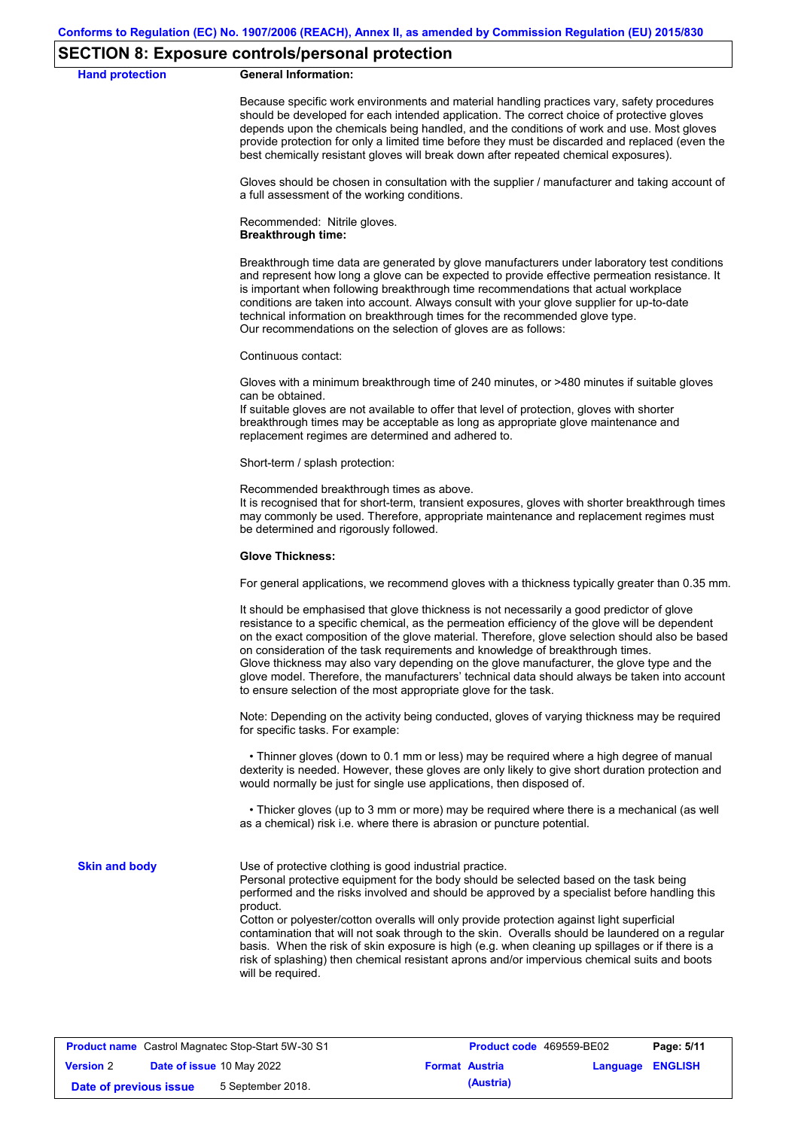### **SECTION 8: Exposure controls/personal protection**

**Hand protection** 

|  | <b>General Information:</b> |
|--|-----------------------------|
|--|-----------------------------|

Because specific work environments and material handling practices vary, safety procedures should be developed for each intended application. The correct choice of protective gloves depends upon the chemicals being handled, and the conditions of work and use. Most gloves provide protection for only a limited time before they must be discarded and replaced (even the best chemically resistant gloves will break down after repeated chemical exposures).

Gloves should be chosen in consultation with the supplier / manufacturer and taking account of a full assessment of the working conditions.

Recommended: Nitrile gloves. **Breakthrough time:**

Breakthrough time data are generated by glove manufacturers under laboratory test conditions and represent how long a glove can be expected to provide effective permeation resistance. It is important when following breakthrough time recommendations that actual workplace conditions are taken into account. Always consult with your glove supplier for up-to-date technical information on breakthrough times for the recommended glove type. Our recommendations on the selection of gloves are as follows:

Continuous contact:

Gloves with a minimum breakthrough time of 240 minutes, or >480 minutes if suitable gloves can be obtained.

If suitable gloves are not available to offer that level of protection, gloves with shorter breakthrough times may be acceptable as long as appropriate glove maintenance and replacement regimes are determined and adhered to.

Short-term / splash protection:

Recommended breakthrough times as above.

It is recognised that for short-term, transient exposures, gloves with shorter breakthrough times may commonly be used. Therefore, appropriate maintenance and replacement regimes must be determined and rigorously followed.

#### **Glove Thickness:**

For general applications, we recommend gloves with a thickness typically greater than 0.35 mm.

It should be emphasised that glove thickness is not necessarily a good predictor of glove resistance to a specific chemical, as the permeation efficiency of the glove will be dependent on the exact composition of the glove material. Therefore, glove selection should also be based on consideration of the task requirements and knowledge of breakthrough times. Glove thickness may also vary depending on the glove manufacturer, the glove type and the glove model. Therefore, the manufacturers' technical data should always be taken into account to ensure selection of the most appropriate glove for the task.

Note: Depending on the activity being conducted, gloves of varying thickness may be required for specific tasks. For example:

 • Thinner gloves (down to 0.1 mm or less) may be required where a high degree of manual dexterity is needed. However, these gloves are only likely to give short duration protection and would normally be just for single use applications, then disposed of.

 • Thicker gloves (up to 3 mm or more) may be required where there is a mechanical (as well as a chemical) risk i.e. where there is abrasion or puncture potential.

**Skin and body**

Use of protective clothing is good industrial practice.

Personal protective equipment for the body should be selected based on the task being performed and the risks involved and should be approved by a specialist before handling this product.

Cotton or polyester/cotton overalls will only provide protection against light superficial contamination that will not soak through to the skin. Overalls should be laundered on a regular basis. When the risk of skin exposure is high (e.g. when cleaning up spillages or if there is a risk of splashing) then chemical resistant aprons and/or impervious chemical suits and boots will be required.

| <b>Product name</b> Castrol Magnatec Stop-Start 5W-30 S1 |  | <b>Product code</b> 469559-BE02 | Page: 5/11 |                       |                         |
|----------------------------------------------------------|--|---------------------------------|------------|-----------------------|-------------------------|
| <b>Version 2</b>                                         |  | Date of issue 10 May 2022       |            | <b>Format Austria</b> | <b>Language ENGLISH</b> |
| Date of previous issue                                   |  | 5 September 2018.               |            | (Austria)             |                         |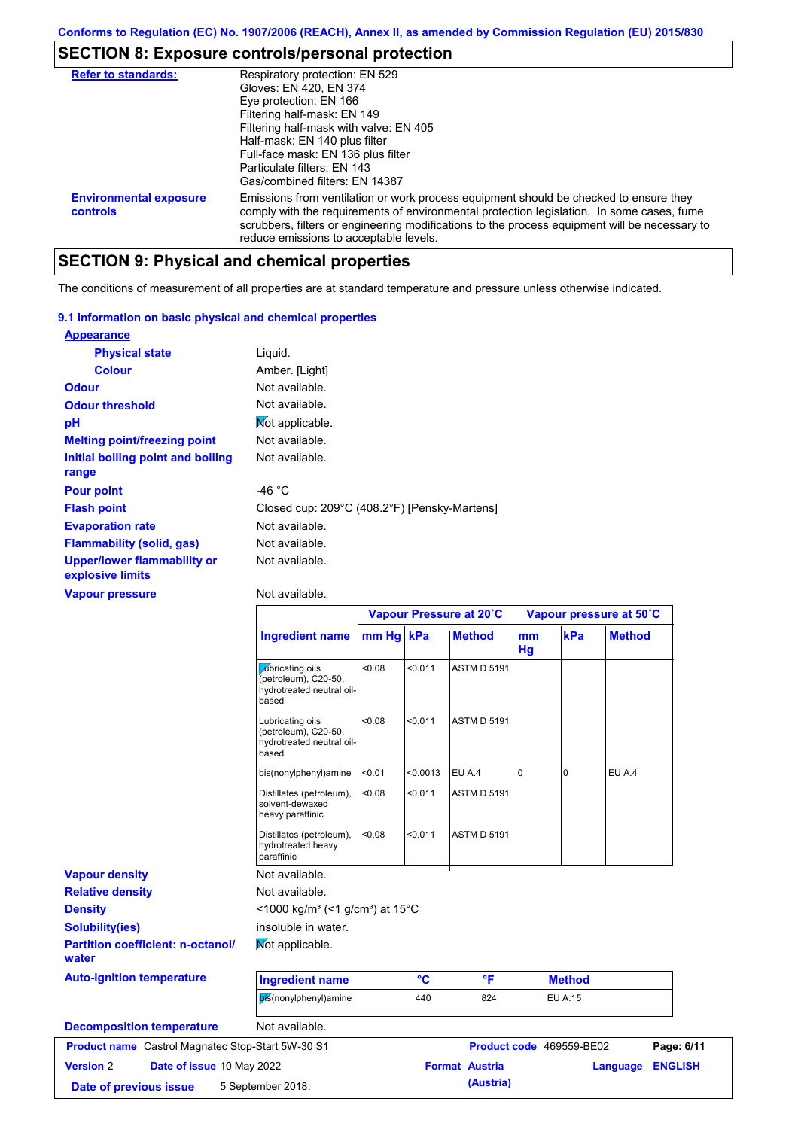# **SECTION 8: Exposure controls/personal protection**

| <b>Refer to standards:</b>                | Respiratory protection: EN 529<br>Gloves: EN 420, EN 374<br>Eye protection: EN 166<br>Filtering half-mask: EN 149<br>Filtering half-mask with valve: EN 405<br>Half-mask: EN 140 plus filter<br>Full-face mask: EN 136 plus filter<br>Particulate filters: FN 143<br>Gas/combined filters: EN 14387                           |
|-------------------------------------------|-------------------------------------------------------------------------------------------------------------------------------------------------------------------------------------------------------------------------------------------------------------------------------------------------------------------------------|
| <b>Environmental exposure</b><br>controls | Emissions from ventilation or work process equipment should be checked to ensure they<br>comply with the requirements of environmental protection legislation. In some cases, fume<br>scrubbers, filters or engineering modifications to the process equipment will be necessary to<br>reduce emissions to acceptable levels. |

# **SECTION 9: Physical and chemical properties**

The conditions of measurement of all properties are at standard temperature and pressure unless otherwise indicated.

#### **9.1 Information on basic physical and chemical properties**

| <b>Appearance</b>                                      |                                              |
|--------------------------------------------------------|----------------------------------------------|
| <b>Physical state</b>                                  | Liguid.                                      |
| <b>Colour</b>                                          | Amber. [Light]                               |
| <b>Odour</b>                                           | Not available.                               |
| <b>Odour threshold</b>                                 | Not available.                               |
| рH                                                     | Mot applicable.                              |
| <b>Melting point/freezing point</b>                    | Not available.                               |
| Initial boiling point and boiling<br>range             | Not available.                               |
| <b>Pour point</b>                                      | -46 °C                                       |
| <b>Flash point</b>                                     | Closed cup: 209°C (408.2°F) [Pensky-Martens] |
| <b>Evaporation rate</b>                                | Not available.                               |
| <b>Flammability (solid, gas)</b>                       | Not available.                               |
| <b>Upper/lower flammability or</b><br>explosive limits | Not available.                               |

**Vapour pressure**

Not available.

|                                                   |                                                                                        | Vapour Pressure at 20°C |          |                       |             | Vapour pressure at 50°C  |               |                |
|---------------------------------------------------|----------------------------------------------------------------------------------------|-------------------------|----------|-----------------------|-------------|--------------------------|---------------|----------------|
|                                                   | <b>Ingredient name</b>                                                                 | mm Hg kPa               |          | <b>Method</b>         | mm<br>Hg    | kPa                      | <b>Method</b> |                |
|                                                   | <b>L</b> úbricating oils<br>(petroleum), C20-50,<br>hydrotreated neutral oil-<br>based | <0.08                   | < 0.011  | <b>ASTM D 5191</b>    |             |                          |               |                |
|                                                   | Lubricating oils<br>(petroleum), C20-50,<br>hydrotreated neutral oil-<br>based         | <0.08                   | < 0.011  | <b>ASTM D 5191</b>    |             |                          |               |                |
|                                                   | bis(nonylphenyl)amine                                                                  | < 0.01                  | < 0.0013 | EU A.4                | $\mathbf 0$ | $\Omega$                 | EU A.4        |                |
|                                                   | Distillates (petroleum),<br>solvent-dewaxed<br>heavy paraffinic                        | < 0.08                  | < 0.011  | <b>ASTM D 5191</b>    |             |                          |               |                |
|                                                   | Distillates (petroleum),<br>hydrotreated heavy<br>paraffinic                           | < 0.08                  | < 0.011  | <b>ASTM D 5191</b>    |             |                          |               |                |
| <b>Vapour density</b>                             | Not available.                                                                         |                         |          |                       |             |                          |               |                |
| <b>Relative density</b>                           | Not available.                                                                         |                         |          |                       |             |                          |               |                |
| <b>Density</b>                                    | <1000 kg/m <sup>3</sup> (<1 g/cm <sup>3</sup> ) at 15 <sup>°</sup> C                   |                         |          |                       |             |                          |               |                |
| <b>Solubility(ies)</b>                            | insoluble in water.                                                                    |                         |          |                       |             |                          |               |                |
| <b>Partition coefficient: n-octanol/</b><br>water | Mot applicable.                                                                        |                         |          |                       |             |                          |               |                |
| <b>Auto-ignition temperature</b>                  | <b>Ingredient name</b>                                                                 |                         | °C       | °F                    |             | <b>Method</b>            |               |                |
|                                                   | bis(nonylphenyl)amine                                                                  |                         | 440      | 824                   |             | <b>EU A.15</b>           |               |                |
| <b>Decomposition temperature</b>                  | Not available.                                                                         |                         |          |                       |             |                          |               |                |
| Product name Castrol Magnatec Stop-Start 5W-30 S1 |                                                                                        |                         |          |                       |             | Product code 469559-BE02 |               | Page: 6/11     |
| <b>Version 2</b><br>Date of issue 10 May 2022     |                                                                                        |                         |          | <b>Format Austria</b> |             |                          | Language      | <b>ENGLISH</b> |
| Date of previous issue                            | 5 September 2018.                                                                      |                         |          | (Austria)             |             |                          |               |                |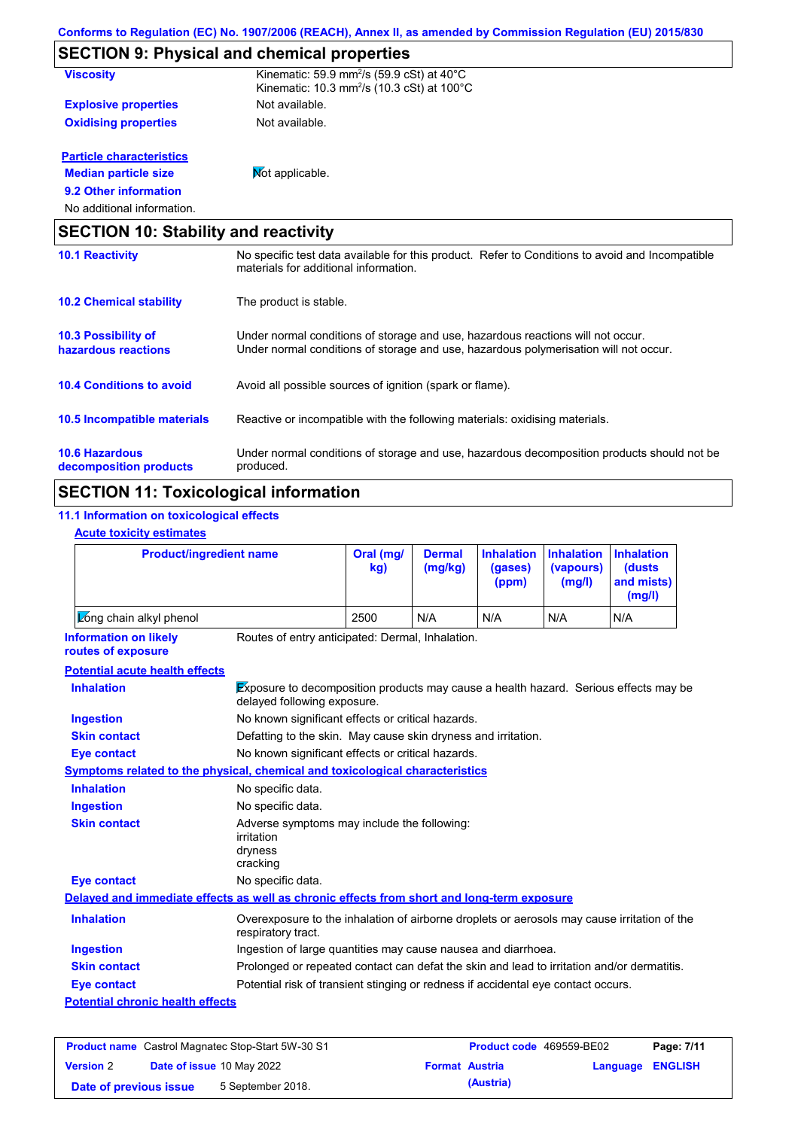|                                                   | <b>SECTION 9: Physical and chemical properties</b>                                                                                                                      |
|---------------------------------------------------|-------------------------------------------------------------------------------------------------------------------------------------------------------------------------|
| <b>Viscosity</b>                                  | Kinematic: 59.9 mm <sup>2</sup> /s (59.9 cSt) at $40^{\circ}$ C<br>Kinematic: 10.3 mm <sup>2</sup> /s (10.3 cSt) at 100 $^{\circ}$ C                                    |
| <b>Explosive properties</b>                       | Not available.                                                                                                                                                          |
| <b>Oxidising properties</b>                       | Not available.                                                                                                                                                          |
| <b>Particle characteristics</b>                   |                                                                                                                                                                         |
| <b>Median particle size</b>                       | Mot applicable.                                                                                                                                                         |
| 9.2 Other information                             |                                                                                                                                                                         |
| No additional information.                        |                                                                                                                                                                         |
| <b>SECTION 10: Stability and reactivity</b>       |                                                                                                                                                                         |
| <b>10.1 Reactivity</b>                            | No specific test data available for this product. Refer to Conditions to avoid and Incompatible<br>materials for additional information.                                |
| <b>10.2 Chemical stability</b>                    | The product is stable.                                                                                                                                                  |
| <b>10.3 Possibility of</b><br>hazardous reactions | Under normal conditions of storage and use, hazardous reactions will not occur.<br>Under normal conditions of storage and use, hazardous polymerisation will not occur. |
| <b>10.4 Conditions to avoid</b>                   | Avoid all possible sources of ignition (spark or flame).                                                                                                                |
| 10.5 Incompatible materials                       | Reactive or incompatible with the following materials: oxidising materials.                                                                                             |
| <b>10.6 Hazardous</b>                             | Under normal conditions of storage and use, hazardous decomposition products should not be                                                                              |

**decomposition products** produced. **SECTION 11: Toxicological information**

#### **11.1 Information on toxicological effects Acute toxicity estimates**

|  | <b>ACUTE TOXICITY ESTIMATES</b> |
|--|---------------------------------|
|  |                                 |

| <b>Product/ingredient name</b>                                                             |                                                                                                                     | Oral (mg/<br><b>Dermal</b><br>kq<br>(mg/kg) |     | <b>Inhalation</b><br>(gases)<br>(ppm) | <b>Inhalation</b><br>(vapours)<br>(mg/l) | <b>Inhalation</b><br>(dusts)<br>and mists)<br>(mg/l) |
|--------------------------------------------------------------------------------------------|---------------------------------------------------------------------------------------------------------------------|---------------------------------------------|-----|---------------------------------------|------------------------------------------|------------------------------------------------------|
| Long chain alkyl phenol                                                                    |                                                                                                                     | 2500                                        | N/A | N/A                                   | N/A                                      | N/A                                                  |
| <b>Information on likely</b><br>routes of exposure                                         | Routes of entry anticipated: Dermal, Inhalation.                                                                    |                                             |     |                                       |                                          |                                                      |
| <b>Potential acute health effects</b>                                                      |                                                                                                                     |                                             |     |                                       |                                          |                                                      |
| <b>Inhalation</b>                                                                          | Exposure to decomposition products may cause a health hazard. Serious effects may be<br>delayed following exposure. |                                             |     |                                       |                                          |                                                      |
| <b>Ingestion</b>                                                                           | No known significant effects or critical hazards.                                                                   |                                             |     |                                       |                                          |                                                      |
| <b>Skin contact</b>                                                                        | Defatting to the skin. May cause skin dryness and irritation.                                                       |                                             |     |                                       |                                          |                                                      |
| <b>Eye contact</b>                                                                         | No known significant effects or critical hazards.                                                                   |                                             |     |                                       |                                          |                                                      |
| <b>Symptoms related to the physical, chemical and toxicological characteristics</b>        |                                                                                                                     |                                             |     |                                       |                                          |                                                      |
| <b>Inhalation</b>                                                                          | No specific data.                                                                                                   |                                             |     |                                       |                                          |                                                      |
| <b>Ingestion</b>                                                                           | No specific data.                                                                                                   |                                             |     |                                       |                                          |                                                      |
| <b>Skin contact</b>                                                                        | Adverse symptoms may include the following:<br>irritation<br>dryness<br>cracking                                    |                                             |     |                                       |                                          |                                                      |
| <b>Eye contact</b>                                                                         | No specific data.                                                                                                   |                                             |     |                                       |                                          |                                                      |
| Delayed and immediate effects as well as chronic effects from short and long-term exposure |                                                                                                                     |                                             |     |                                       |                                          |                                                      |
| <b>Inhalation</b>                                                                          | Overexposure to the inhalation of airborne droplets or aerosols may cause irritation of the<br>respiratory tract.   |                                             |     |                                       |                                          |                                                      |
| <b>Ingestion</b>                                                                           | Ingestion of large quantities may cause nausea and diarrhoea.                                                       |                                             |     |                                       |                                          |                                                      |
| <b>Skin contact</b>                                                                        | Prolonged or repeated contact can defat the skin and lead to irritation and/or dermatitis.                          |                                             |     |                                       |                                          |                                                      |
| <b>Eye contact</b>                                                                         | Potential risk of transient stinging or redness if accidental eye contact occurs.                                   |                                             |     |                                       |                                          |                                                      |
| <b>Potential chronic health effects</b>                                                    |                                                                                                                     |                                             |     |                                       |                                          |                                                      |

| <b>Product name</b> Castrol Magnatec Stop-Start 5W-30 S1 |  |                                  | <b>Product code</b> 469559-BE02 |                       | Page: 7/11              |  |
|----------------------------------------------------------|--|----------------------------------|---------------------------------|-----------------------|-------------------------|--|
| <b>Version 2</b>                                         |  | <b>Date of issue 10 May 2022</b> |                                 | <b>Format Austria</b> | <b>Language ENGLISH</b> |  |
| Date of previous issue                                   |  | 5 September 2018.                |                                 | (Austria)             |                         |  |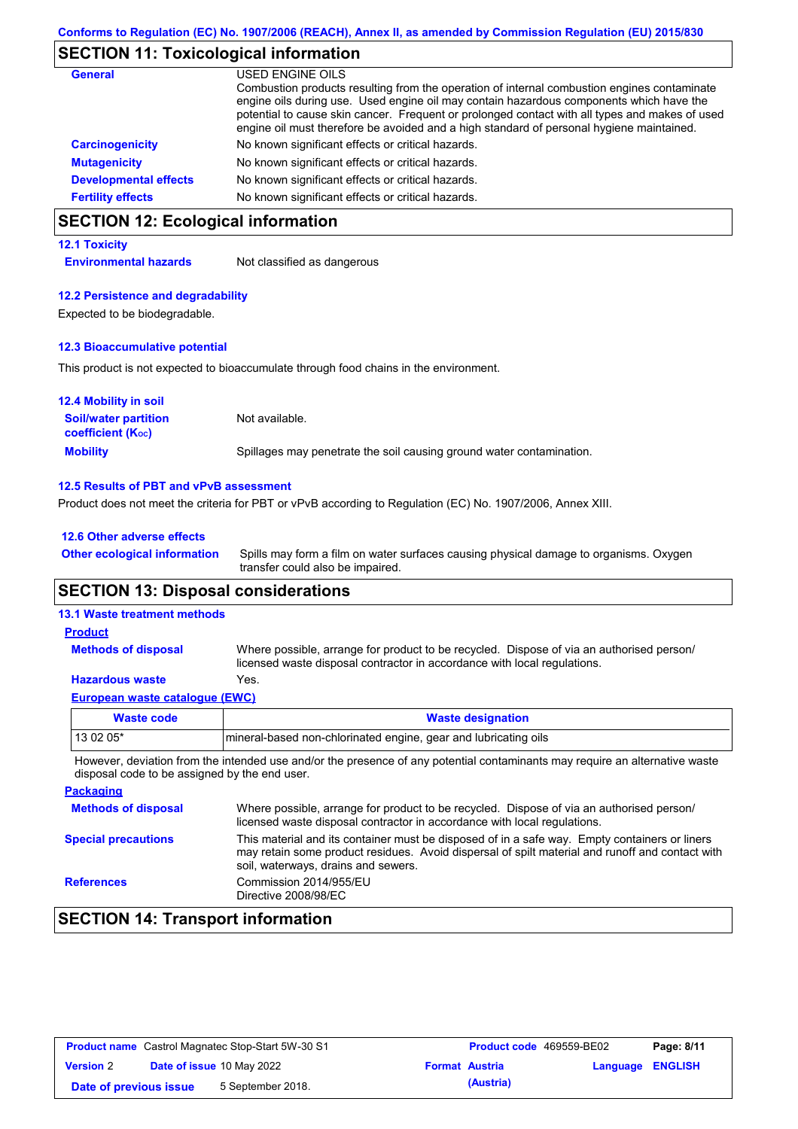## **SECTION 11: Toxicological information**

| General                      | USED ENGINE OILS                                                                                                                                                                                                                                                                                                                                                                     |
|------------------------------|--------------------------------------------------------------------------------------------------------------------------------------------------------------------------------------------------------------------------------------------------------------------------------------------------------------------------------------------------------------------------------------|
|                              | Combustion products resulting from the operation of internal combustion engines contaminate<br>engine oils during use. Used engine oil may contain hazardous components which have the<br>potential to cause skin cancer. Frequent or prolonged contact with all types and makes of used<br>engine oil must therefore be avoided and a high standard of personal hygiene maintained. |
| <b>Carcinogenicity</b>       | No known significant effects or critical hazards.                                                                                                                                                                                                                                                                                                                                    |
| <b>Mutagenicity</b>          | No known significant effects or critical hazards.                                                                                                                                                                                                                                                                                                                                    |
| <b>Developmental effects</b> | No known significant effects or critical hazards.                                                                                                                                                                                                                                                                                                                                    |
| <b>Fertility effects</b>     | No known significant effects or critical hazards.                                                                                                                                                                                                                                                                                                                                    |

# **SECTION 12: Ecological information**

#### **12.1 Toxicity**

**Environmental hazards** Not classified as dangerous

#### **12.2 Persistence and degradability**

Expected to be biodegradable.

#### **12.3 Bioaccumulative potential**

This product is not expected to bioaccumulate through food chains in the environment.

| <b>12.4 Mobility in soil</b>                                  |                                                                      |
|---------------------------------------------------------------|----------------------------------------------------------------------|
| <b>Soil/water partition</b><br>coefficient (K <sub>oc</sub> ) | Not available.                                                       |
| <b>Mobility</b>                                               | Spillages may penetrate the soil causing ground water contamination. |

#### **12.5 Results of PBT and vPvB assessment**

Product does not meet the criteria for PBT or vPvB according to Regulation (EC) No. 1907/2006, Annex XIII.

#### **12.6 Other adverse effects**

Spills may form a film on water surfaces causing physical damage to organisms. Oxygen transfer could also be impaired. **Other ecological information**

## **SECTION 13: Disposal considerations**

### **13.1 Waste treatment methods**

#### Where possible, arrange for product to be recycled. Dispose of via an authorised person/ licensed waste disposal contractor in accordance with local regulations. **Methods of disposal Product**

## **Hazardous waste** Yes.

| European waste cataloque (EWC) |                                                                  |  |
|--------------------------------|------------------------------------------------------------------|--|
| Waste code                     | <b>Waste designation</b>                                         |  |
| l 13 02 05*                    | Imineral-based non-chlorinated engine, gear and lubricating oils |  |

However, deviation from the intended use and/or the presence of any potential contaminants may require an alternative waste disposal code to be assigned by the end user.

| <b>Packaging</b>           |                                                                                                                                                                                                                                         |
|----------------------------|-----------------------------------------------------------------------------------------------------------------------------------------------------------------------------------------------------------------------------------------|
| <b>Methods of disposal</b> | Where possible, arrange for product to be recycled. Dispose of via an authorised person/<br>licensed waste disposal contractor in accordance with local regulations.                                                                    |
| <b>Special precautions</b> | This material and its container must be disposed of in a safe way. Empty containers or liners<br>may retain some product residues. Avoid dispersal of spilt material and runoff and contact with<br>soil, waterways, drains and sewers. |
| <b>References</b>          | Commission 2014/955/EU<br>Directive 2008/98/EC                                                                                                                                                                                          |

# **SECTION 14: Transport information**

| <b>Product name</b> Castrol Magnatec Stop-Start 5W-30 S1 |  | <b>Product code</b> 469559-BE02  | Page: 8/11 |                       |                  |  |
|----------------------------------------------------------|--|----------------------------------|------------|-----------------------|------------------|--|
| <b>Version 2</b>                                         |  | <b>Date of issue 10 May 2022</b> |            | <b>Format Austria</b> | Language ENGLISH |  |
| Date of previous issue                                   |  | 5 September 2018.                |            | (Austria)             |                  |  |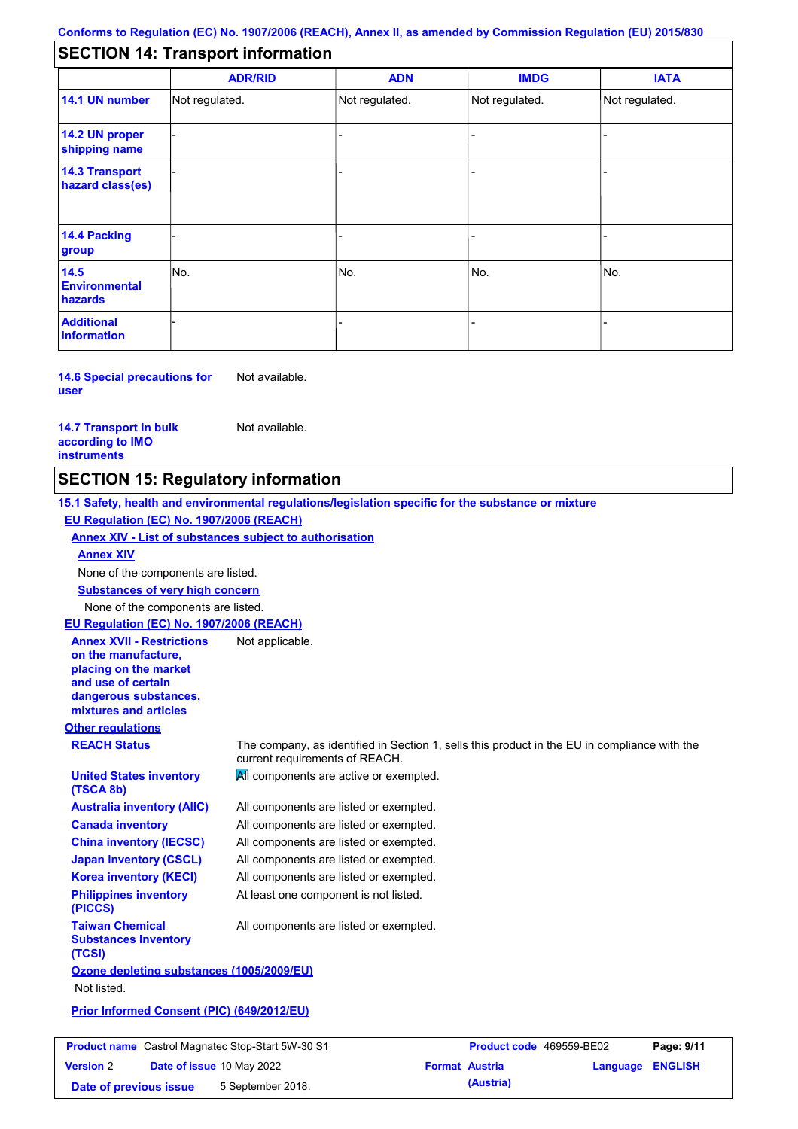# **SECTION 14: Transport information**

|                                           | <b>ADR/RID</b> | <b>ADN</b>     | <b>IMDG</b>    | <b>IATA</b>    |
|-------------------------------------------|----------------|----------------|----------------|----------------|
| 14.1 UN number                            | Not regulated. | Not regulated. | Not regulated. | Not regulated. |
| 14.2 UN proper<br>shipping name           |                |                |                |                |
| <b>14.3 Transport</b><br>hazard class(es) |                |                |                |                |
| 14.4 Packing<br>group                     |                |                |                |                |
| 14.5<br><b>Environmental</b><br>hazards   | No.            | No.            | No.            | No.            |
| <b>Additional</b><br>information          |                |                |                |                |

**14.6 Special precautions for user** Not available.

**14.7 Transport in bulk according to IMO instruments**

Not available.

# **SECTION 15: Regulatory information**

**Other regulations REACH Status** The company, as identified in Section 1, sells this product in the EU in compliance with the current requirements of REACH. **15.1 Safety, health and environmental regulations/legislation specific for the substance or mixture EU Regulation (EC) No. 1907/2006 (REACH) Annex XIV - List of substances subject to authorisation Substances of very high concern** None of the components are listed. All components are listed or exempted. All components are listed or exempted. All components are listed or exempted. All components are listed or exempted. All components are active or exempted. All components are listed or exempted. At least one component is not listed. **United States inventory (TSCA 8b) Australia inventory (AIIC) Canada inventory China inventory (IECSC) Japan inventory (CSCL) Korea inventory (KECI) Philippines inventory (PICCS) Taiwan Chemical Substances Inventory (TCSI)** All components are listed or exempted. **Ozone depleting substances (1005/2009/EU)** Not listed. **Prior Informed Consent (PIC) (649/2012/EU)** None of the components are listed. **Annex XIV EU Regulation (EC) No. 1907/2006 (REACH) Annex XVII - Restrictions on the manufacture, placing on the market and use of certain dangerous substances, mixtures and articles** Not applicable.

**Product name** Castrol Magnatec Stop-Start 5W-30 S1 **Product code** 469559-BE02 **Page: 9/11 Version** 2 **Date of issue** 10 May 2022 **Format Austria Language ENGLISH Date of previous issue 5 September 2018. (Austria)**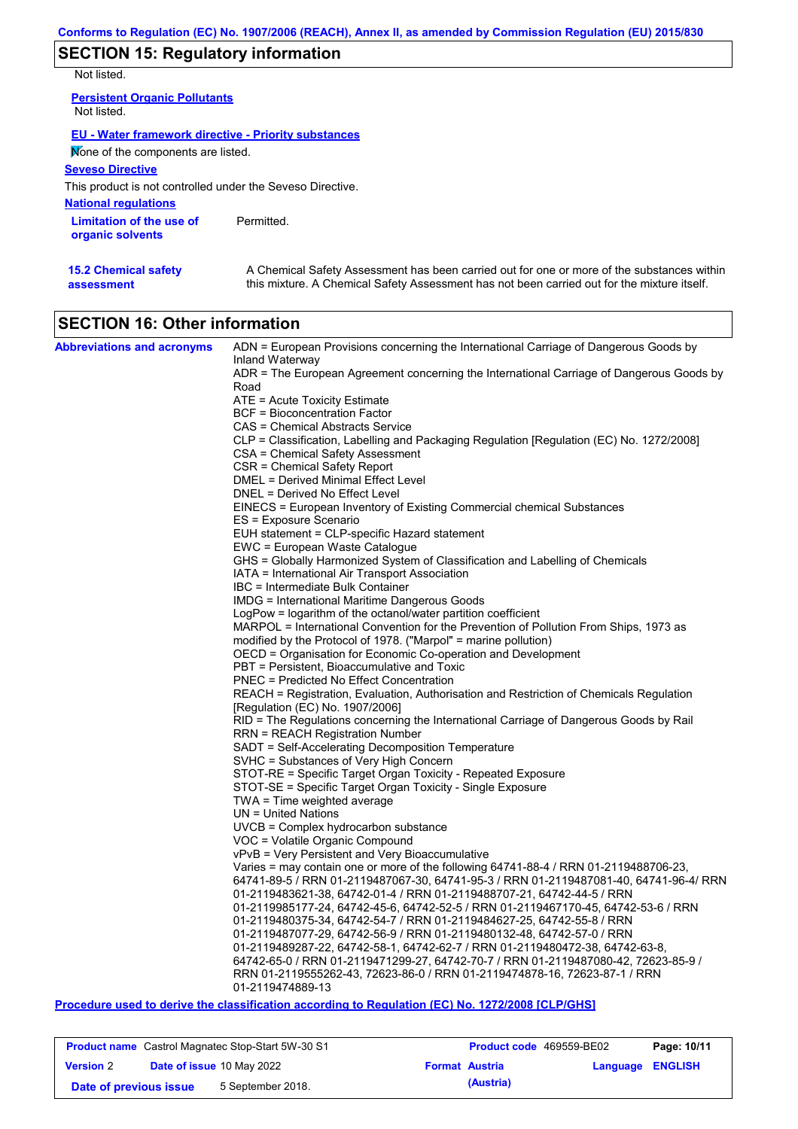# **SECTION 15: Regulatory information**

Not listed.

| <b>Persistent Organic Pollutants</b><br>Not listed.        |            |
|------------------------------------------------------------|------------|
| EU - Water framework directive - Priority substances       |            |
| None of the components are listed.                         |            |
| <b>Seveso Directive</b>                                    |            |
| This product is not controlled under the Seveso Directive. |            |
| <b>National requlations</b>                                |            |
| Limitation of the use of<br>organic solvents               | Permitted. |

| <b>15.2 Chemical safety</b> | A Chemical Safety Assessment has been carried out for one or more of the substances within  |
|-----------------------------|---------------------------------------------------------------------------------------------|
| assessment                  | this mixture. A Chemical Safety Assessment has not been carried out for the mixture itself. |

# **SECTION 16: Other information**

| <b>Abbreviations and acronyms</b> | ADN = European Provisions concerning the International Carriage of Dangerous Goods by    |
|-----------------------------------|------------------------------------------------------------------------------------------|
|                                   | Inland Waterway                                                                          |
|                                   | ADR = The European Agreement concerning the International Carriage of Dangerous Goods by |
|                                   | Road                                                                                     |
|                                   | ATE = Acute Toxicity Estimate                                                            |
|                                   | <b>BCF</b> = Bioconcentration Factor<br>CAS = Chemical Abstracts Service                 |
|                                   | CLP = Classification, Labelling and Packaging Regulation [Regulation (EC) No. 1272/2008] |
|                                   | <b>CSA</b> = Chemical Safety Assessment                                                  |
|                                   | CSR = Chemical Safety Report                                                             |
|                                   | DMEL = Derived Minimal Effect Level                                                      |
|                                   | DNEL = Derived No Effect Level                                                           |
|                                   | EINECS = European Inventory of Existing Commercial chemical Substances                   |
|                                   | ES = Exposure Scenario                                                                   |
|                                   | EUH statement = CLP-specific Hazard statement                                            |
|                                   | EWC = European Waste Catalogue                                                           |
|                                   | GHS = Globally Harmonized System of Classification and Labelling of Chemicals            |
|                                   | IATA = International Air Transport Association                                           |
|                                   | IBC = Intermediate Bulk Container                                                        |
|                                   | IMDG = International Maritime Dangerous Goods                                            |
|                                   | LogPow = logarithm of the octanol/water partition coefficient                            |
|                                   | MARPOL = International Convention for the Prevention of Pollution From Ships, 1973 as    |
|                                   | modified by the Protocol of 1978. ("Marpol" = marine pollution)                          |
|                                   | OECD = Organisation for Economic Co-operation and Development                            |
|                                   | PBT = Persistent, Bioaccumulative and Toxic                                              |
|                                   | <b>PNEC = Predicted No Effect Concentration</b>                                          |
|                                   | REACH = Registration, Evaluation, Authorisation and Restriction of Chemicals Regulation  |
|                                   | [Regulation (EC) No. 1907/2006]                                                          |
|                                   | RID = The Regulations concerning the International Carriage of Dangerous Goods by Rail   |
|                                   | <b>RRN = REACH Registration Number</b>                                                   |
|                                   | SADT = Self-Accelerating Decomposition Temperature                                       |
|                                   | SVHC = Substances of Very High Concern                                                   |
|                                   | STOT-RE = Specific Target Organ Toxicity - Repeated Exposure                             |
|                                   | STOT-SE = Specific Target Organ Toxicity - Single Exposure                               |
|                                   | TWA = Time weighted average<br>$UN = United Nations$                                     |
|                                   | $UVCB = Complex\;hydrocarbon\; substance$                                                |
|                                   | VOC = Volatile Organic Compound                                                          |
|                                   | vPvB = Very Persistent and Very Bioaccumulative                                          |
|                                   | Varies = may contain one or more of the following 64741-88-4 / RRN 01-2119488706-23,     |
|                                   | 64741-89-5 / RRN 01-2119487067-30, 64741-95-3 / RRN 01-2119487081-40, 64741-96-4/ RRN    |
|                                   | 01-2119483621-38, 64742-01-4 / RRN 01-2119488707-21, 64742-44-5 / RRN                    |
|                                   | 01-2119985177-24, 64742-45-6, 64742-52-5 / RRN 01-2119467170-45, 64742-53-6 / RRN        |
|                                   | 01-2119480375-34, 64742-54-7 / RRN 01-2119484627-25, 64742-55-8 / RRN                    |
|                                   | 01-2119487077-29, 64742-56-9 / RRN 01-2119480132-48, 64742-57-0 / RRN                    |
|                                   | 01-2119489287-22, 64742-58-1, 64742-62-7 / RRN 01-2119480472-38, 64742-63-8,             |
|                                   | 64742-65-0 / RRN 01-2119471299-27, 64742-70-7 / RRN 01-2119487080-42, 72623-85-9 /       |
|                                   | RRN 01-2119555262-43, 72623-86-0 / RRN 01-2119474878-16, 72623-87-1 / RRN                |
|                                   | 01-2119474889-13                                                                         |

## **Procedure used to derive the classification according to Regulation (EC) No. 1272/2008 [CLP/GHS]**

| <b>Product name</b> Castrol Magnatec Stop-Start 5W-30 S1 |  | <b>Product code</b> 469559-BE02  |                       | Page: 10/11 |                         |  |
|----------------------------------------------------------|--|----------------------------------|-----------------------|-------------|-------------------------|--|
| <b>Version 2</b>                                         |  | <b>Date of issue 10 May 2022</b> | <b>Format Austria</b> |             | <b>Language ENGLISH</b> |  |
| Date of previous issue                                   |  | 5 September 2018.                |                       | (Austria)   |                         |  |